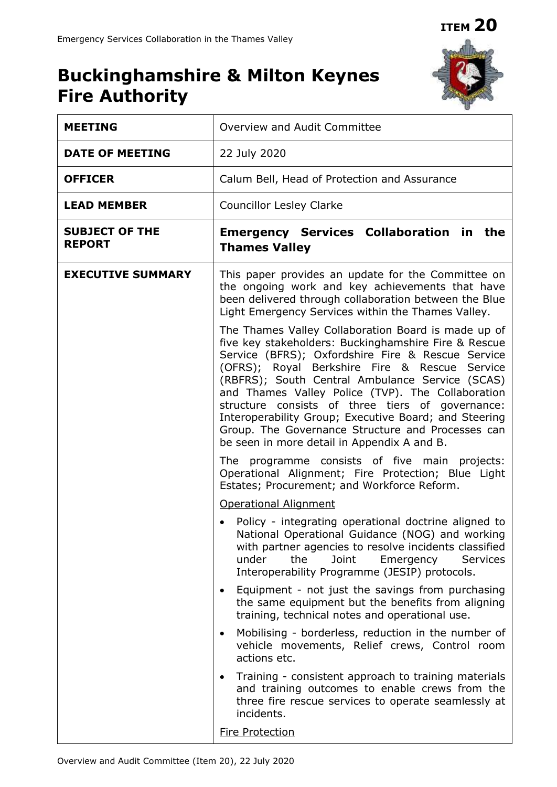**ITEM 20**

## **Buckinghamshire & Milton Keynes Fire Authority**



| <b>MEETING</b>                         | Overview and Audit Committee                                                                                                                                                                                                                                                                                                                                                                                                                                                                                                                                                                                                                                                                                                                                                                                                                                                                                                                                                                                                                                                                                                                                                          |
|----------------------------------------|---------------------------------------------------------------------------------------------------------------------------------------------------------------------------------------------------------------------------------------------------------------------------------------------------------------------------------------------------------------------------------------------------------------------------------------------------------------------------------------------------------------------------------------------------------------------------------------------------------------------------------------------------------------------------------------------------------------------------------------------------------------------------------------------------------------------------------------------------------------------------------------------------------------------------------------------------------------------------------------------------------------------------------------------------------------------------------------------------------------------------------------------------------------------------------------|
| <b>DATE OF MEETING</b>                 | 22 July 2020                                                                                                                                                                                                                                                                                                                                                                                                                                                                                                                                                                                                                                                                                                                                                                                                                                                                                                                                                                                                                                                                                                                                                                          |
| <b>OFFICER</b>                         | Calum Bell, Head of Protection and Assurance                                                                                                                                                                                                                                                                                                                                                                                                                                                                                                                                                                                                                                                                                                                                                                                                                                                                                                                                                                                                                                                                                                                                          |
| <b>LEAD MEMBER</b>                     | <b>Councillor Lesley Clarke</b>                                                                                                                                                                                                                                                                                                                                                                                                                                                                                                                                                                                                                                                                                                                                                                                                                                                                                                                                                                                                                                                                                                                                                       |
| <b>SUBJECT OF THE</b><br><b>REPORT</b> | <b>Emergency Services Collaboration in the</b><br><b>Thames Valley</b>                                                                                                                                                                                                                                                                                                                                                                                                                                                                                                                                                                                                                                                                                                                                                                                                                                                                                                                                                                                                                                                                                                                |
| <b>EXECUTIVE SUMMARY</b>               | This paper provides an update for the Committee on<br>the ongoing work and key achievements that have<br>been delivered through collaboration between the Blue<br>Light Emergency Services within the Thames Valley.<br>The Thames Valley Collaboration Board is made up of<br>five key stakeholders: Buckinghamshire Fire & Rescue<br>Service (BFRS); Oxfordshire Fire & Rescue Service<br>(OFRS); Royal Berkshire Fire & Rescue Service<br>(RBFRS); South Central Ambulance Service (SCAS)<br>and Thames Valley Police (TVP). The Collaboration<br>structure consists of three tiers of governance:<br>Interoperability Group; Executive Board; and Steering<br>Group. The Governance Structure and Processes can<br>be seen in more detail in Appendix A and B.<br>The programme consists of five main projects:<br>Operational Alignment; Fire Protection; Blue Light<br>Estates; Procurement; and Workforce Reform.<br><b>Operational Alignment</b><br>Policy - integrating operational doctrine aligned to<br>National Operational Guidance (NOG) and working<br>with partner agencies to resolve incidents classified<br>Joint<br>under<br>the<br>Emergency<br><b>Services</b> |
|                                        | Interoperability Programme (JESIP) protocols.<br>Equipment - not just the savings from purchasing<br>the same equipment but the benefits from aligning                                                                                                                                                                                                                                                                                                                                                                                                                                                                                                                                                                                                                                                                                                                                                                                                                                                                                                                                                                                                                                |
|                                        | training, technical notes and operational use.<br>Mobilising - borderless, reduction in the number of<br>$\bullet$<br>vehicle movements, Relief crews, Control room<br>actions etc.                                                                                                                                                                                                                                                                                                                                                                                                                                                                                                                                                                                                                                                                                                                                                                                                                                                                                                                                                                                                   |
|                                        | Training - consistent approach to training materials<br>$\bullet$<br>and training outcomes to enable crews from the<br>three fire rescue services to operate seamlessly at<br>incidents.                                                                                                                                                                                                                                                                                                                                                                                                                                                                                                                                                                                                                                                                                                                                                                                                                                                                                                                                                                                              |
|                                        | <b>Fire Protection</b>                                                                                                                                                                                                                                                                                                                                                                                                                                                                                                                                                                                                                                                                                                                                                                                                                                                                                                                                                                                                                                                                                                                                                                |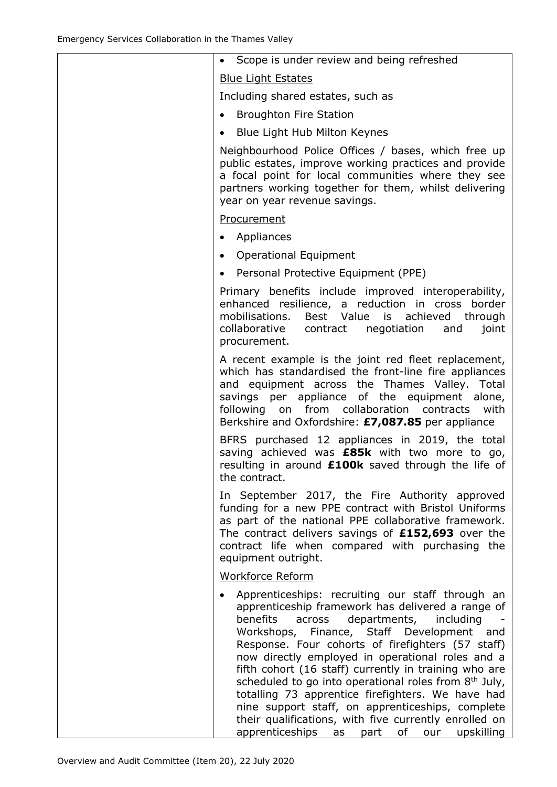| Scope is under review and being refreshed                                                                                                                                                                                                                                                                                                                                                                                                                                                                                                                                                                                                                               |
|-------------------------------------------------------------------------------------------------------------------------------------------------------------------------------------------------------------------------------------------------------------------------------------------------------------------------------------------------------------------------------------------------------------------------------------------------------------------------------------------------------------------------------------------------------------------------------------------------------------------------------------------------------------------------|
| <b>Blue Light Estates</b>                                                                                                                                                                                                                                                                                                                                                                                                                                                                                                                                                                                                                                               |
| Including shared estates, such as                                                                                                                                                                                                                                                                                                                                                                                                                                                                                                                                                                                                                                       |
| <b>Broughton Fire Station</b>                                                                                                                                                                                                                                                                                                                                                                                                                                                                                                                                                                                                                                           |
| Blue Light Hub Milton Keynes<br>$\bullet$                                                                                                                                                                                                                                                                                                                                                                                                                                                                                                                                                                                                                               |
| Neighbourhood Police Offices / bases, which free up<br>public estates, improve working practices and provide<br>a focal point for local communities where they see<br>partners working together for them, whilst delivering<br>year on year revenue savings.                                                                                                                                                                                                                                                                                                                                                                                                            |
| Procurement                                                                                                                                                                                                                                                                                                                                                                                                                                                                                                                                                                                                                                                             |
| Appliances                                                                                                                                                                                                                                                                                                                                                                                                                                                                                                                                                                                                                                                              |
| <b>Operational Equipment</b><br>$\bullet$                                                                                                                                                                                                                                                                                                                                                                                                                                                                                                                                                                                                                               |
| Personal Protective Equipment (PPE)<br>$\bullet$                                                                                                                                                                                                                                                                                                                                                                                                                                                                                                                                                                                                                        |
| Primary benefits include improved interoperability,<br>enhanced resilience, a reduction in cross border<br>mobilisations.<br>Best Value is achieved through<br>collaborative<br>contract negotiation<br>and<br>joint<br>procurement.                                                                                                                                                                                                                                                                                                                                                                                                                                    |
| A recent example is the joint red fleet replacement,<br>which has standardised the front-line fire appliances<br>and equipment across the Thames Valley. Total<br>savings per appliance of the equipment alone,<br>following on from collaboration contracts<br>with<br>Berkshire and Oxfordshire: £7,087.85 per appliance                                                                                                                                                                                                                                                                                                                                              |
| BFRS purchased 12 appliances in 2019, the total<br>saving achieved was <b>£85k</b> with two more to go,<br>resulting in around <b>£100k</b> saved through the life of<br>the contract.                                                                                                                                                                                                                                                                                                                                                                                                                                                                                  |
| In September 2017, the Fire Authority approved<br>funding for a new PPE contract with Bristol Uniforms<br>as part of the national PPE collaborative framework.<br>The contract delivers savings of £152,693 over the<br>contract life when compared with purchasing the<br>equipment outright.                                                                                                                                                                                                                                                                                                                                                                          |
| Workforce Reform                                                                                                                                                                                                                                                                                                                                                                                                                                                                                                                                                                                                                                                        |
| Apprenticeships: recruiting our staff through an<br>apprenticeship framework has delivered a range of<br>benefits<br>departments, including<br>across<br>Workshops, Finance, Staff Development and<br>Response. Four cohorts of firefighters (57 staff)<br>now directly employed in operational roles and a<br>fifth cohort (16 staff) currently in training who are<br>scheduled to go into operational roles from 8 <sup>th</sup> July,<br>totalling 73 apprentice firefighters. We have had<br>nine support staff, on apprenticeships, complete<br>their qualifications, with five currently enrolled on<br>apprenticeships<br>upskilling<br>as<br>part<br>οf<br>our |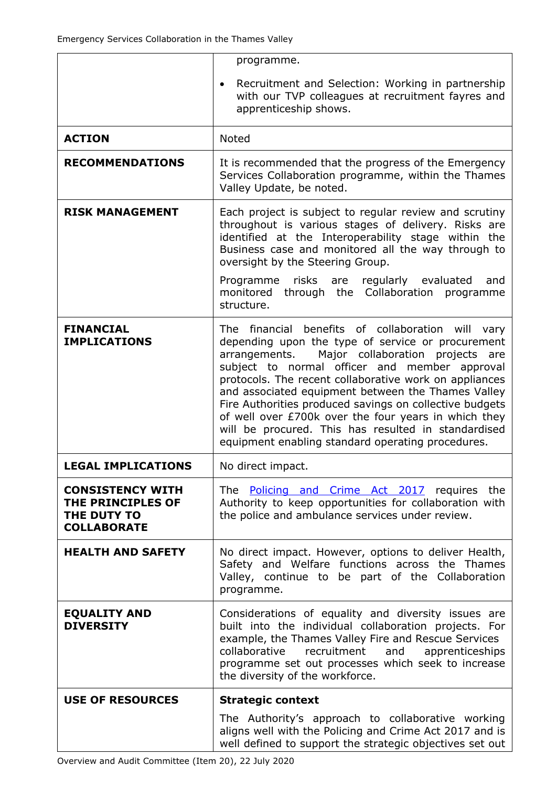|                                                                                   | programme.                                                                                                                                                                                                                                                                                                                                                                                                                                                                                                                                                     |
|-----------------------------------------------------------------------------------|----------------------------------------------------------------------------------------------------------------------------------------------------------------------------------------------------------------------------------------------------------------------------------------------------------------------------------------------------------------------------------------------------------------------------------------------------------------------------------------------------------------------------------------------------------------|
|                                                                                   | Recruitment and Selection: Working in partnership<br>with our TVP colleagues at recruitment fayres and<br>apprenticeship shows.                                                                                                                                                                                                                                                                                                                                                                                                                                |
| <b>ACTION</b>                                                                     | <b>Noted</b>                                                                                                                                                                                                                                                                                                                                                                                                                                                                                                                                                   |
| <b>RECOMMENDATIONS</b>                                                            | It is recommended that the progress of the Emergency<br>Services Collaboration programme, within the Thames<br>Valley Update, be noted.                                                                                                                                                                                                                                                                                                                                                                                                                        |
| <b>RISK MANAGEMENT</b>                                                            | Each project is subject to regular review and scrutiny<br>throughout is various stages of delivery. Risks are<br>identified at the Interoperability stage within the<br>Business case and monitored all the way through to<br>oversight by the Steering Group.<br>Programme<br>risks are<br>regularly evaluated<br>and                                                                                                                                                                                                                                         |
|                                                                                   | through the Collaboration<br>monitored<br>programme<br>structure.                                                                                                                                                                                                                                                                                                                                                                                                                                                                                              |
| <b>FINANCIAL</b><br><b>IMPLICATIONS</b>                                           | The financial benefits of collaboration will vary<br>depending upon the type of service or procurement<br>Major collaboration projects<br>arrangements.<br>are<br>subject to normal officer and member approval<br>protocols. The recent collaborative work on appliances<br>and associated equipment between the Thames Valley<br>Fire Authorities produced savings on collective budgets<br>of well over £700k over the four years in which they<br>will be procured. This has resulted in standardised<br>equipment enabling standard operating procedures. |
| <b>LEGAL IMPLICATIONS</b>                                                         | No direct impact.                                                                                                                                                                                                                                                                                                                                                                                                                                                                                                                                              |
| <b>CONSISTENCY WITH</b><br>THE PRINCIPLES OF<br>THE DUTY TO<br><b>COLLABORATE</b> | The <b>Policing and Crime Act 2017</b> requires the<br>Authority to keep opportunities for collaboration with<br>the police and ambulance services under review.                                                                                                                                                                                                                                                                                                                                                                                               |
| <b>HEALTH AND SAFETY</b>                                                          | No direct impact. However, options to deliver Health,<br>Safety and Welfare functions across the Thames<br>Valley, continue to be part of the Collaboration<br>programme.                                                                                                                                                                                                                                                                                                                                                                                      |
| <b>EQUALITY AND</b><br><b>DIVERSITY</b>                                           | Considerations of equality and diversity issues are<br>built into the individual collaboration projects. For<br>example, the Thames Valley Fire and Rescue Services<br>collaborative<br>recruitment<br>and<br>apprenticeships<br>programme set out processes which seek to increase<br>the diversity of the workforce.                                                                                                                                                                                                                                         |
| <b>USE OF RESOURCES</b>                                                           | <b>Strategic context</b>                                                                                                                                                                                                                                                                                                                                                                                                                                                                                                                                       |
|                                                                                   | The Authority's approach to collaborative working<br>aligns well with the Policing and Crime Act 2017 and is<br>well defined to support the strategic objectives set out                                                                                                                                                                                                                                                                                                                                                                                       |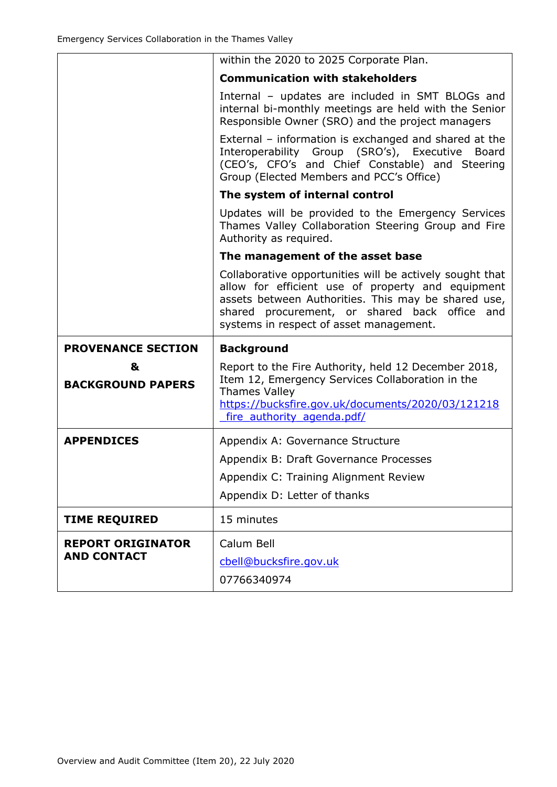|                           | within the 2020 to 2025 Corporate Plan.                                                                                                                                                                                                                                |
|---------------------------|------------------------------------------------------------------------------------------------------------------------------------------------------------------------------------------------------------------------------------------------------------------------|
|                           | <b>Communication with stakeholders</b>                                                                                                                                                                                                                                 |
|                           | Internal - updates are included in SMT BLOGs and<br>internal bi-monthly meetings are held with the Senior<br>Responsible Owner (SRO) and the project managers                                                                                                          |
|                           | External - information is exchanged and shared at the<br>Interoperability Group (SRO's), Executive Board<br>(CEO's, CFO's and Chief Constable) and Steering<br>Group (Elected Members and PCC's Office)                                                                |
|                           | The system of internal control                                                                                                                                                                                                                                         |
|                           | Updates will be provided to the Emergency Services<br>Thames Valley Collaboration Steering Group and Fire<br>Authority as required.                                                                                                                                    |
|                           | The management of the asset base                                                                                                                                                                                                                                       |
|                           | Collaborative opportunities will be actively sought that<br>allow for efficient use of property and equipment<br>assets between Authorities. This may be shared use,<br>procurement, or shared back office<br>shared<br>and<br>systems in respect of asset management. |
| <b>PROVENANCE SECTION</b> | <b>Background</b>                                                                                                                                                                                                                                                      |
| &                         | Report to the Fire Authority, held 12 December 2018,                                                                                                                                                                                                                   |
| <b>BACKGROUND PAPERS</b>  | Item 12, Emergency Services Collaboration in the<br><b>Thames Valley</b>                                                                                                                                                                                               |
|                           | https://bucksfire.gov.uk/documents/2020/03/121218<br>fire authority agenda.pdf/                                                                                                                                                                                        |
| <b>APPENDICES</b>         | Appendix A: Governance Structure                                                                                                                                                                                                                                       |
|                           | Appendix B: Draft Governance Processes                                                                                                                                                                                                                                 |
|                           | Appendix C: Training Alignment Review                                                                                                                                                                                                                                  |
|                           | Appendix D: Letter of thanks                                                                                                                                                                                                                                           |
| <b>TIME REQUIRED</b>      | 15 minutes                                                                                                                                                                                                                                                             |
| <b>REPORT ORIGINATOR</b>  | Calum Bell                                                                                                                                                                                                                                                             |
| <b>AND CONTACT</b>        | cbell@bucksfire.gov.uk                                                                                                                                                                                                                                                 |
|                           | 07766340974                                                                                                                                                                                                                                                            |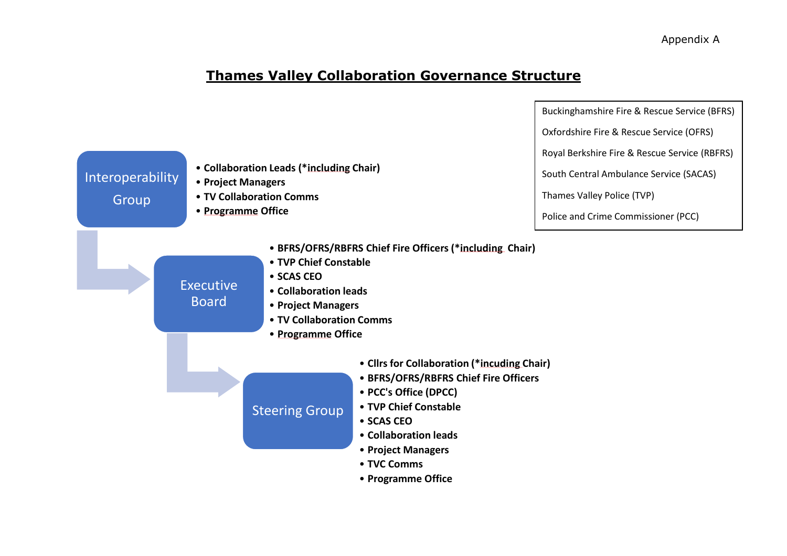### **Thames Valley Collaboration Governance Structure**

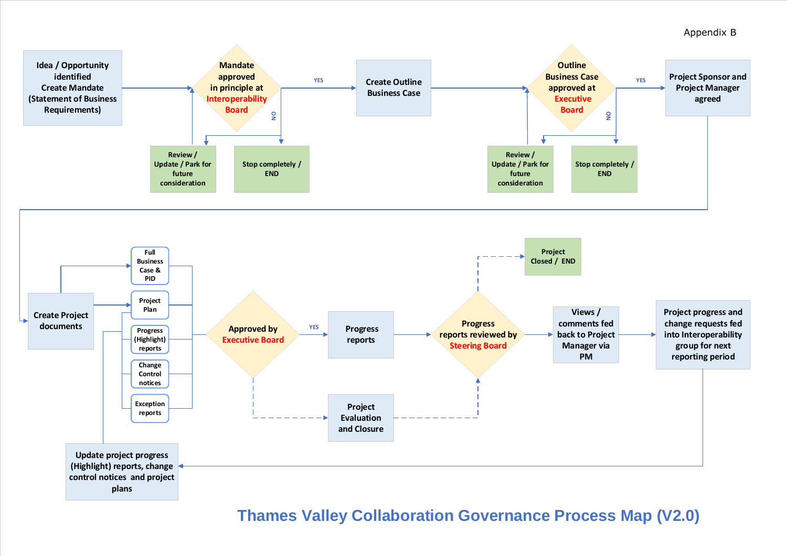

# **Thames Valley Collaboration Governance Process Map (V2.0)**



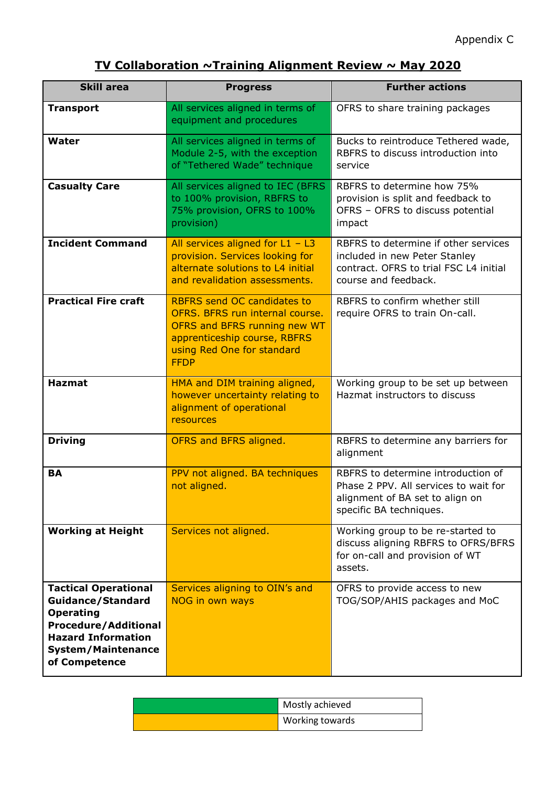## **TV Collaboration ~Training Alignment Review ~ May 2020**

| <b>Skill area</b>                                                                                                                                                                     | <b>Progress</b>                                                                                                                                                                    | <b>Further actions</b>                                                                                                                    |
|---------------------------------------------------------------------------------------------------------------------------------------------------------------------------------------|------------------------------------------------------------------------------------------------------------------------------------------------------------------------------------|-------------------------------------------------------------------------------------------------------------------------------------------|
| <b>Transport</b>                                                                                                                                                                      | All services aligned in terms of<br>equipment and procedures                                                                                                                       | OFRS to share training packages                                                                                                           |
| <b>Water</b>                                                                                                                                                                          | All services aligned in terms of<br>Module 2-5, with the exception<br>of "Tethered Wade" technique                                                                                 | Bucks to reintroduce Tethered wade,<br>RBFRS to discuss introduction into<br>service                                                      |
| <b>Casualty Care</b>                                                                                                                                                                  | All services aligned to IEC (BFRS<br>to 100% provision, RBFRS to<br>75% provision, OFRS to 100%<br>provision)                                                                      | RBFRS to determine how 75%<br>provision is split and feedback to<br>OFRS - OFRS to discuss potential<br>impact                            |
| <b>Incident Command</b>                                                                                                                                                               | All services aligned for $L1 - L3$<br>provision. Services looking for<br>alternate solutions to L4 initial<br>and revalidation assessments.                                        | RBFRS to determine if other services<br>included in new Peter Stanley<br>contract. OFRS to trial FSC L4 initial<br>course and feedback.   |
| <b>Practical Fire craft</b>                                                                                                                                                           | <b>RBFRS send OC candidates to</b><br>OFRS. BFRS run internal course.<br>OFRS and BFRS running new WT<br>apprenticeship course, RBFRS<br>using Red One for standard<br><b>FFDP</b> | RBFRS to confirm whether still<br>require OFRS to train On-call.                                                                          |
| <b>Hazmat</b>                                                                                                                                                                         | HMA and DIM training aligned,<br>however uncertainty relating to<br>alignment of operational<br>resources                                                                          | Working group to be set up between<br>Hazmat instructors to discuss                                                                       |
| <b>Driving</b>                                                                                                                                                                        | OFRS and BFRS aligned.                                                                                                                                                             | RBFRS to determine any barriers for<br>alignment                                                                                          |
| <b>BA</b>                                                                                                                                                                             | PPV not aligned. BA techniques<br>not aligned.                                                                                                                                     | RBFRS to determine introduction of<br>Phase 2 PPV. All services to wait for<br>alignment of BA set to align on<br>specific BA techniques. |
| <b>Working at Height</b>                                                                                                                                                              | Services not aligned.                                                                                                                                                              | Working group to be re-started to<br>discuss aligning RBFRS to OFRS/BFRS<br>for on-call and provision of WT<br>assets.                    |
| <b>Tactical Operational</b><br><b>Guidance/Standard</b><br><b>Operating</b><br><b>Procedure/Additional</b><br><b>Hazard Information</b><br><b>System/Maintenance</b><br>of Competence | Services aligning to OIN's and<br>NOG in own ways                                                                                                                                  | OFRS to provide access to new<br>TOG/SOP/AHIS packages and MoC                                                                            |

| Mostly achieved |
|-----------------|
| Working towards |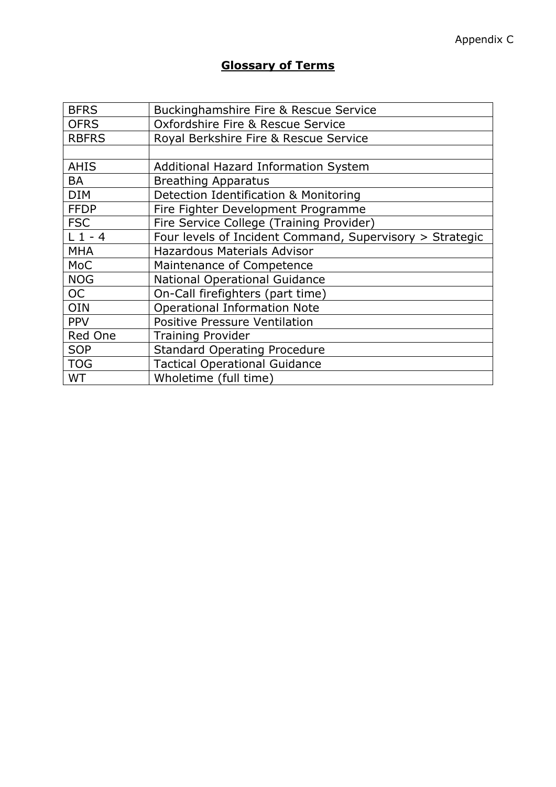#### **Glossary of Terms**

| <b>BFRS</b>  | Buckinghamshire Fire & Rescue Service                    |
|--------------|----------------------------------------------------------|
| <b>OFRS</b>  | Oxfordshire Fire & Rescue Service                        |
| <b>RBFRS</b> | Royal Berkshire Fire & Rescue Service                    |
|              |                                                          |
| <b>AHIS</b>  | Additional Hazard Information System                     |
| BA           | <b>Breathing Apparatus</b>                               |
| <b>DIM</b>   | Detection Identification & Monitoring                    |
| <b>FFDP</b>  | Fire Fighter Development Programme                       |
| <b>FSC</b>   | Fire Service College (Training Provider)                 |
| $L_1 - 4$    | Four levels of Incident Command, Supervisory > Strategic |
| <b>MHA</b>   | <b>Hazardous Materials Advisor</b>                       |
| <b>MoC</b>   | Maintenance of Competence                                |
| <b>NOG</b>   | <b>National Operational Guidance</b>                     |
| <b>OC</b>    | On-Call firefighters (part time)                         |
| <b>OIN</b>   | <b>Operational Information Note</b>                      |
| <b>PPV</b>   | <b>Positive Pressure Ventilation</b>                     |
| Red One      | <b>Training Provider</b>                                 |
| <b>SOP</b>   | <b>Standard Operating Procedure</b>                      |
| <b>TOG</b>   | <b>Tactical Operational Guidance</b>                     |
| <b>WT</b>    | Wholetime (full time)                                    |